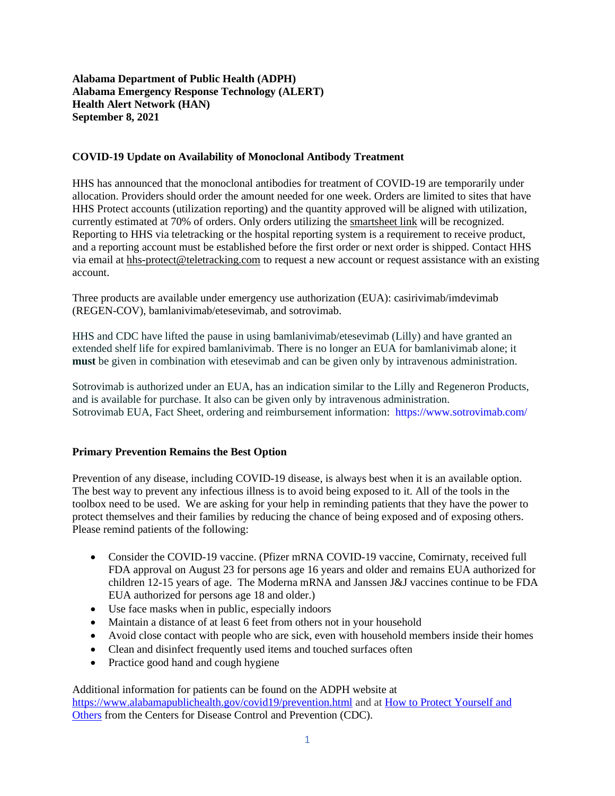**Alabama Department of Public Health (ADPH) Alabama Emergency Response Technology (ALERT) Health Alert Network (HAN) September 8, 2021**

#### **COVID-19 Update on Availability of Monoclonal Antibody Treatment**

HHS has announced that the monoclonal antibodies for treatment of COVID-19 are temporarily under allocation. Providers should order the amount needed for one week. Orders are limited to sites that have HHS Protect accounts (utilization reporting) and the quantity approved will be aligned with utilization, currently estimated at 70% of orders. Only orders utilizing the [smartsheet link](https://app.smartsheet.com/b/form/255d164d67834793b4ab549e160941e8) will be recognized. Reporting to HHS via teletracking or the hospital reporting system is a requirement to receive product, and a reporting account must be established before the first order or next order is shipped. Contact HHS via email at [hhs-protect@teletracking.com](mailto:hhs-protect@teletracking.com) to request a new account or request assistance with an existing account.

Three products are available under emergency use authorization (EUA): casirivimab/imdevimab (REGEN-COV), bamlanivimab/etesevimab, and sotrovimab.

HHS and CDC have lifted the pause in using bamlanivimab/etesevimab (Lilly) and have granted an extended shelf life for expired bamlanivimab. There is no longer an EUA for bamlanivimab alone; it **must** be given in combination with etesevimab and can be given only by intravenous administration.

Sotrovimab is authorized under an EUA, has an indication similar to the Lilly and Regeneron Products, and is available for purchase. It also can be given only by intravenous administration. Sotrovimab EUA, Fact Sheet, ordering and reimbursement information:<https://www.sotrovimab.com/>

### **Primary Prevention Remains the Best Option**

Prevention of any disease, including COVID-19 disease, is always best when it is an available option. The best way to prevent any infectious illness is to avoid being exposed to it. All of the tools in the toolbox need to be used. We are asking for your help in reminding patients that they have the power to protect themselves and their families by reducing the chance of being exposed and of exposing others. Please remind patients of the following:

- Consider the COVID-19 vaccine. (Pfizer mRNA COVID-19 vaccine, Comirnaty, received full FDA approval on August 23 for persons age 16 years and older and remains EUA authorized for children 12-15 years of age. The Moderna mRNA and Janssen J&J vaccines continue to be FDA EUA authorized for persons age 18 and older.)
- Use face masks when in public, especially indoors
- Maintain a distance of at least 6 feet from others not in your household
- Avoid close contact with people who are sick, even with household members inside their homes
- Clean and disinfect frequently used items and touched surfaces often
- Practice good hand and cough hygiene

Additional information for patients can be found on the ADPH website at <https://www.alabamapublichealth.gov/covid19/prevention.html> and at [How to Protect Yourself and](https://www.cdc.gov/coronavirus/2019-ncov/prevent-getting-sick/prevention.html)  [Others](https://www.cdc.gov/coronavirus/2019-ncov/prevent-getting-sick/prevention.html) from the Centers for Disease Control and Prevention (CDC).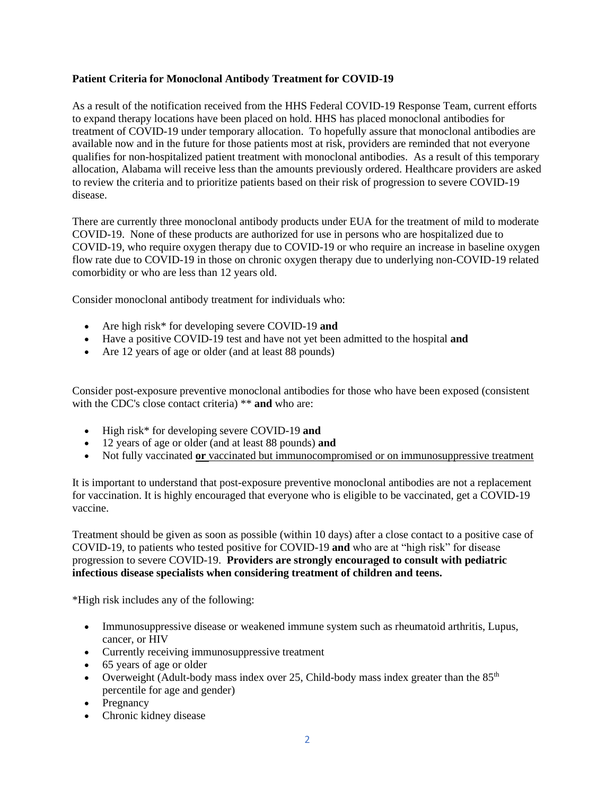### **Patient Criteria for Monoclonal Antibody Treatment for COVID-19**

As a result of the notification received from the HHS Federal COVID-19 Response Team, current efforts to expand therapy locations have been placed on hold. HHS has placed monoclonal antibodies for treatment of COVID-19 under temporary allocation. To hopefully assure that monoclonal antibodies are available now and in the future for those patients most at risk, providers are reminded that not everyone qualifies for non-hospitalized patient treatment with monoclonal antibodies. As a result of this temporary allocation, Alabama will receive less than the amounts previously ordered. Healthcare providers are asked to review the criteria and to prioritize patients based on their risk of progression to severe COVID-19 disease.

There are currently three monoclonal antibody products under EUA for the treatment of mild to moderate COVID-19. None of these products are authorized for use in persons who are hospitalized due to COVID-19, who require oxygen therapy due to COVID-19 or who require an increase in baseline oxygen flow rate due to COVID-19 in those on chronic oxygen therapy due to underlying non-COVID-19 related comorbidity or who are less than 12 years old.

Consider monoclonal antibody treatment for individuals who:

- Are high risk\* for developing severe COVID-19 **and**
- Have a positive COVID-19 test and have not yet been admitted to the hospital **and**
- Are 12 years of age or older (and at least 88 pounds)

Consider post-exposure preventive monoclonal antibodies for those who have been exposed (consistent with the CDC's close contact criteria) \*\* **and** who are:

- High risk\* for developing severe COVID-19 **and**
- 12 years of age or older (and at least 88 pounds) **and**
- Not fully vaccinated **or** vaccinated but immunocompromised or on immunosuppressive treatment

It is important to understand that post-exposure preventive monoclonal antibodies are not a replacement for vaccination. It is highly encouraged that everyone who is eligible to be vaccinated, get a COVID-19 vaccine.

Treatment should be given as soon as possible (within 10 days) after a close contact to a positive case of COVID-19, to patients who tested positive for COVID-19 **and** who are at "high risk" for disease progression to severe COVID-19. **Providers are strongly encouraged to consult with pediatric infectious disease specialists when considering treatment of children and teens.**

\*High risk includes any of the following:

- Immunosuppressive disease or weakened immune system such as rheumatoid arthritis, Lupus, cancer, or HIV
- Currently receiving immunosuppressive treatment
- 65 years of age or older
- Overweight (Adult-body mass index over 25, Child-body mass index greater than the  $85<sup>th</sup>$ percentile for age and gender)
- Pregnancy
- Chronic kidney disease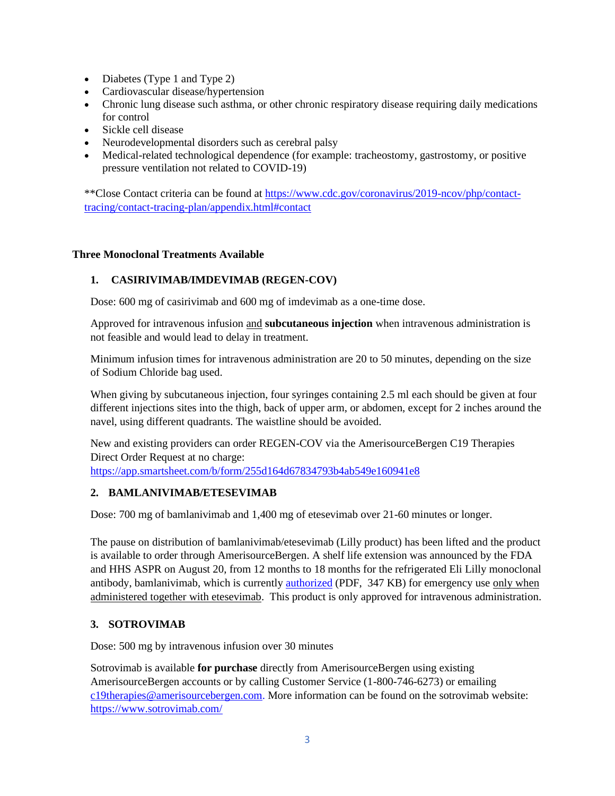- Diabetes (Type 1 and Type 2)
- Cardiovascular disease/hypertension
- Chronic lung disease such asthma, or other chronic respiratory disease requiring daily medications for control
- Sickle cell disease
- Neurodevelopmental disorders such as cerebral palsy
- Medical-related technological dependence (for example: tracheostomy, gastrostomy, or positive pressure ventilation not related to COVID-19)

\*\*Close Contact criteria can be found at [https://www.cdc.gov/coronavirus/2019-ncov/php/contact](https://www.cdc.gov/coronavirus/2019-ncov/php/contact-tracing/contact-tracing-plan/appendix.html#contact)[tracing/contact-tracing-plan/appendix.html#contact](https://www.cdc.gov/coronavirus/2019-ncov/php/contact-tracing/contact-tracing-plan/appendix.html#contact)

### **Three Monoclonal Treatments Available**

# **1. CASIRIVIMAB/IMDEVIMAB (REGEN-COV)**

Dose: 600 mg of casirivimab and 600 mg of imdevimab as a one-time dose.

Approved for intravenous infusion and **subcutaneous injection** when intravenous administration is not feasible and would lead to delay in treatment.

Minimum infusion times for intravenous administration are 20 to 50 minutes, depending on the size of Sodium Chloride bag used.

When giving by subcutaneous injection, four syringes containing 2.5 ml each should be given at four different injections sites into the thigh, back of upper arm, or abdomen, except for 2 inches around the navel, using different quadrants. The waistline should be avoided.

New and existing providers can order REGEN-COV via the AmerisourceBergen C19 Therapies Direct Order Request at no charge: <https://app.smartsheet.com/b/form/255d164d67834793b4ab549e160941e8>

### **2. BAMLANIVIMAB/ETESEVIMAB**

Dose: 700 mg of bamlanivimab and 1,400 mg of etesevimab over 21-60 minutes or longer.

The pause on distribution of bamlanivimab/etesevimab (Lilly product) has been lifted and the product is available to order through AmerisourceBergen. A shelf life extension was announced by the FDA and HHS ASPR on August 20, from 12 months to 18 months for the refrigerated Eli Lilly monoclonal antibody, bamlanivimab, which is currently [authorized](https://www.fda.gov/media/145801/download) (PDF, 347 KB) for emergency use only when administered together with etesevimab. This product is only approved for intravenous administration.

# **3. SOTROVIMAB**

Dose: 500 mg by intravenous infusion over 30 minutes

Sotrovimab is available **for purchase** directly from AmerisourceBergen using existing AmerisourceBergen accounts or by calling Customer Service (1-800-746-6273) or emailing [c19therapies@amerisourcebergen.com.](mailto:c19therapies@amerisourcebergen.com) More information can be found on the sotrovimab website: <https://www.sotrovimab.com/>